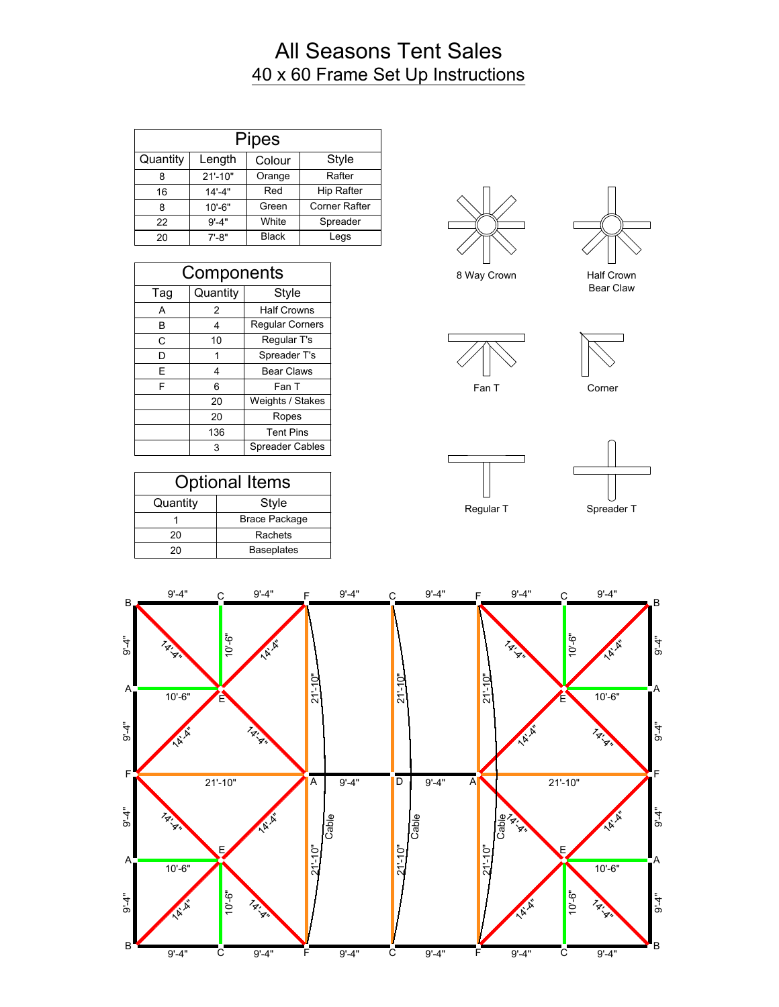## All Seasons Tent Sales 40 x 60 Frame Set Up Instructions

|          |             | <b>Pipes</b> |                      |
|----------|-------------|--------------|----------------------|
| Quantity | Length      | Colour       | Style                |
| 8        | $21' - 10"$ | Orange       | Rafter               |
| 16       | $14' - 4"$  | Red          | <b>Hip Rafter</b>    |
| 8        | $10' - 6"$  | Green        | <b>Corner Rafter</b> |
| 22       | $9' - 4"$   | White        | Spreader             |
| 20       | $7' - 8"$   | <b>Black</b> | Legs                 |

| Components |          |                        |  |
|------------|----------|------------------------|--|
| Tag        | Quantity | <b>Style</b>           |  |
| A          | 2        | <b>Half Crowns</b>     |  |
| В          | 4        | <b>Regular Corners</b> |  |
| С          | 10       | Regular T's            |  |
| D          | 1        | Spreader T's           |  |
| E          | 4        | <b>Bear Claws</b>      |  |
| F          | 6        | Fan T                  |  |
|            | 20       | Weights / Stakes       |  |
|            | 20       | Ropes                  |  |
|            | 136      | <b>Tent Pins</b>       |  |
|            | 3        | Spreader Cables        |  |

| <b>Optional Items</b> |                      |  |
|-----------------------|----------------------|--|
| Quantity              | Style                |  |
|                       | <b>Brace Package</b> |  |
| 20                    | Rachets              |  |
| 20                    | <b>Baseplates</b>    |  |



8 Way Crown Half Crown